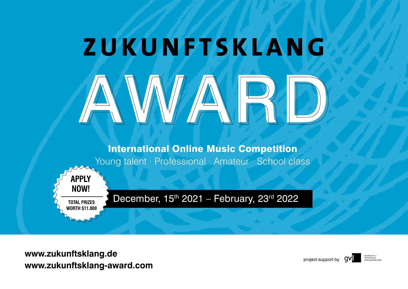# **ZUKUNFTSKLANG** WAVAND

International Online Music Competition Young talent · Professional · Amateur · School class

December,  $15<sup>th</sup> 2021$  – February,  $23<sup>rd</sup> 2022$ 

www.zukunftsklang.de<br>www.zukunftsklang-award.com

**APPLY** 

**NOW!**

**TOTAL PRIZES WORTH \$11.000** 

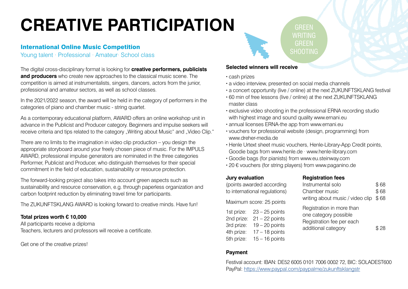# **CREATIVE PARTICIPATION**

# International Online Music Competition

Young talent · Professional · Amateur· School class

The digital cross-disciplinary format is looking for **creative performers, publicists and producers** who create new approaches to the classical music scene. The competition is aimed at instrumentalists, singers, dancers, actors from the junior, professional and amateur sectors, as well as school classes.

In the 2021/2022 season, the award will be held in the category of performers in the categories of piano and chamber music - string quartet.

As a contemporary educational platform, AWARD offers an online workshop unit in advance in the Publicist and Producer category. Beginners and impulse seekers will receive criteria and tips related to the category "Writing about Music" and "Video Clip."

There are no limits to the imagination in video clip production – you design the appropriate storyboard around your freely chosen piece of music. For the IMPULS AWARD, professional impulse generators are nominated in the three categories Performer, Publicist and Producer, who distinguish themselves for their special commitment in the field of education, sustainability or resource protection.

The forward-looking project also takes into account green aspects such as sustainability and resource conservation, e.g. through paperless organization and carbon footprint reduction by eliminating travel time for participants.

The ZUKUNFTSKLANG AWARD is looking forward to creative minds. Have fun!

# **Total prizes worth € 10,000**

All participants receive a diploma Teachers, lecturers and professors will receive a certificate.

Get one of the creative prizes!

# **Selected winners will receive**

- · cash prizes
- · a video interview, presented on social media channels
- · a concert opportunity (live / online) at the next ZUKUNFTSKLANG festival

GREEN WRITING **GREEN** SHOOTING

- · 60 min of free lessons (live / online) at the next ZUKUNFTSKLANG master class
- · exclusive video shooting in the professional ERNA recording studio with highest image and sound quality www.ernani.eu
- · annual licenses ERNA-the app from www.ernani.eu
- · vouchers for professional website (design, programming) from www.dreher-media.de
- · Henle Urtext sheet music vouchers, Henle-Library-App Credit points, Goodie bags from www.henle.de · www.henle-library.com
- · Goodie bags (for pianists) from www.eu.steinway.com
- · 20 € vouchers (for string players) from www.paganino.de

# **Jury evaluation**

| Instrumental solo<br>Chamber music                                                                     | \$68<br>\$68 |
|--------------------------------------------------------------------------------------------------------|--------------|
|                                                                                                        |              |
|                                                                                                        |              |
| writing about music / video clip                                                                       | \$68         |
| Registration in more than<br>one category possible<br>Registration fee per each<br>additional category | \$28         |
|                                                                                                        |              |

**Registration fees**

# **Payment**

Festival account: IBAN: DE52 6005 0101 7006 0002 72, BIC: SOLADEST600 PayPal:<https://www.paypal.com/paypalme/zukunftsklangstr>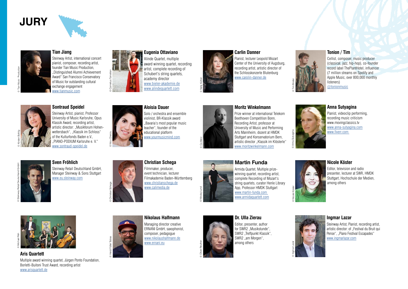# **JURY**





#### **Tian Jiang**

Steinway Artist, international concert pianist, composer, recording artist, founder Tian Music Production, ..Distinguished Alumni Achievement Award" San Francisco Conservatory of Music for outstanding cultural exchange engagement [www.tianmusic.com](http://www.tianmusic.com)



© Cornelius Tometten

© Nicu Cherciu

© Heidi Fößel Tobias

# **Eugenia Ottaviano**

Alinde Quartet, multiple award winning quartet, recording artist, complete recording of Schubert's string quartets. academy director [www.bieler-akademie.de](http://www.bieler-akademie.de) [www.alindequartett.com](http://www.alindequartett.com)



#### **Carlin Danner**

Pianist, lecturer Leopold Mozart Center of the University of Augsburg, recording artist, artistic director of the Schlosskonzerte Blutenburg [www.carolin-danner.de](http://www.carolin-danner.de)

#### **Tonion / Tim**



Cellist, composer, music producer (classical, jazz, hip-hop), co-founder record label ThePlantHotel, influencer (7 million streams on Spotify and Apple Music, over 800,000 monthly

[@tonionmusic](https://www.instagram.com/tonionmusic/)

# © Kirsten Bohlig

#### **Sontraud Speidel**

Steinway Artist, pianist, Professor University of Music Karlsruhe, Opus Klassik Award, recording artist, artistic director: "Musikforum Hohenwettersbach", "Klassik im Schloss" of the Kulturfonds Baden e.V., "PIANO-PODIUM Karlsruhe e. V." [www.sontraud-speidel.de](http://www.sontraud-speidel.de)

# **Aloisia Dauer** violinist, BR-Klassik award teacher", founder of the educational platform [www.yourmusicmind.com](http://www.yourmusicmind.com)

# Solo / orchestra and ensemble "Bavaria's most popular music

© Co Merz

© Nikolaj-Lund

#### **Moritz Winkelmann**



Beethoven Competition Bonn, Recording Artist, professor at University of Music and Performing Arts Mannheim, dozent at HMDK Stuttgart and Konservatorium Bern, artistic director "Klassik im Klösterle" [www.moritzwinkelmann.com](http://www.moritzwinkelmann.com)

#### Prize winner at international Telekom

© Anna Sutyagina

© Tim Binder

#### **Anna Sutyagina**

Pianist, videoclip performing, recording music criticism www.movingclassics.tv <www.anna-sutyagina.com> <www.fiverr.com>

# © Steinway Retail Deutschland GmbH

# **Sven Fröhlich**



Steinway Retail Deutschland GmbH, Manager Steinway & Sons Stuttgart [www.eu.steinway.com](https://eu.steinway.com/de/)

# © Christian Schega

# **Christian Schega**

Filmmaker, producer, event technician, lecturer Filmakademie Baden-Württemberg <www.christianschega.de> [www.calimedia.de](http://www.calimedia.de)

#### **Martin Funda**



Armida Quartet, Multiple prizewinning quartet, recording artist, complete Recording of Mozart's string quartets, curator Henle Library App. Professor HMDK Stuttgart <www.martin-funda.com> <www.armidaquartett.com>

# © Nicole Köster



Editor, television and radio presenter, lecturer at SWR, HMDK Stuttgart, Hochschule der Medien



**Aris Quartett**

Multiple award winning quartet, Jürgen Ponto Foundation, Borletti-Buitoni Trust Award, recording artist [www.arisquartett.de](http://www.arisquartett.de)

#### **Nikolaus Halfmann** Managing director creative ERNANI GmbH, saxophonist,

composer, pedagogue [www.nikolaushalfmann.de](http://www.nikolaushalfmann.de) [www.ernani.eu](http://www.ernani.eu)



#### **Dr. Ulla Zierau**  Editor, presenter, author for SWR2 ..Musikstunde".

SWR2 "Treffpunkt Klassik", SWR2 ..am Morgen". among others



#### **Ingmar Lazar**

Steinway Artist, Pianist, recording artist, artistic director: of ..Festival du Bruit qui Pense", "Piano Festival Escapades" <www.ingmarlazar.com>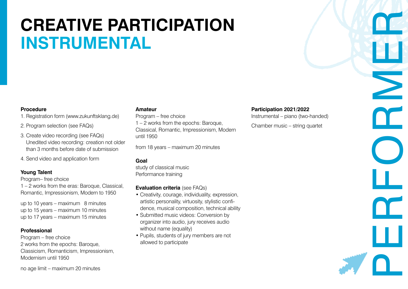# **CREATIVE PARTICIPATION INSTRUMENTAL**

### **Procedure**

1. Registration form (www.zukunftsklang.de)

- 2. Program selection (see FAQs)
- 3. Create video recording (see FAQs) Unedited video recording: creation not older than 3 months before date of submission
- 4. Send video and application form

# **Young Talent**

Program– free choice

1 – 2 works from the eras: Baroque, Classical, Romantic, Impressionism, Modern to 1950

up to 10 years – maximum 8 minutes up to 15 years – maximum 10 minutes up to 17 years – maximum 15 minutes

# **Professional**

Program – free choice 2 works from the epochs: Baroque, Classicism, Romanticism, Impressionism, Modernism until 1950

#### **Amateur**

Program – free choice 1 – 2 works from the epochs: Baroque, Classical, Romantic, Impressionism, Modern until 1950

from 18 years – maximum 20 minutes

# **Goal**

study of classical music Performance training

# **Evaluation criteria** (see FAQs)

- Creativity, courage, individuality, expression, artistic personality, virtuosity, stylistic confidence, musical composition, technical ability
- Submitted music videos: Conversion by organizer into audio, jury receives audio without name (equality)
- Pupils, students of jury members are not allowed to participate

### **Participation 2021/2022**

Instrumental – piano (two-handed)

Chamber music – string quartet

no age limit – maximum 20 minutes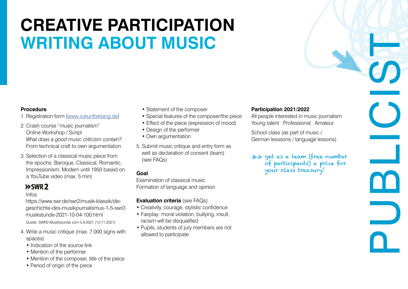# **CREATIVE PARTICIPATION WRITING ABOUT MUSIC**

## **Procedure**

- 1. Registration form [\(www.zukunftsklang.de\)](www.zukunftsklang.de)
- 2. Crash course "music journalism" Online Workshop / Script *What does a good music criticism contain?* From technical craft to own argumentation
- 3. Selection of a classical music piece from the epochs: Baroque, Classical, Romantic, Impressionism, Modern until 1950 based on a YouTube video (max. 5 min)

# $>>$ SWR $2$

### Infos

Quelle: SWR2-Musikstunde vom 5.9.2021 (13.11.2021) https://www.swr.de/swr2/musik-klassik/diegeschichte-des-musikjournalismus-1-5-swr2 musikstunde-2021-10-04-100.html

- 4. Write a music critique (max. 7.000 signs with spaces)
	- Indication of the source link
	- Mention of the performer
	- Mention of the composer, title of the piece
	- Period of origin of the piece
- Statement of the composer
- Special features of the composer/the piece
- Effect of the piece (expression of mood)
- Design of the performer
- Own argumentation
- 5. Submit music critique and entry form as well as declaration of consent (team) (see FAQs)

# **Goal**

Examination of classical music Formation of language and opinion

# **Evaluation criteria** (see FAQs)

- Creativity, courage, stylistic confidence
- Fairplay: moral violation, bullying, insult, racism will be disqualified
- Pupils, students of jury members are not allowed to participate

# **Participation 2021/2022**

All people interested in music journalism Young talent · Professional · Amateur

School class (as part of music / German lesssons / language lessons)

# \*> get as a team (free number of participants) a prize for your class treasury!

PUBLIC<br>PUBLICIST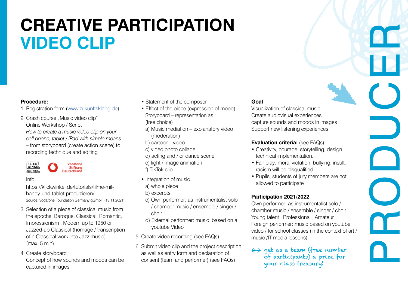# **CREATIVE PARTICIPATION VIDEO CLIP**

## **Procedure:**

- 1. Registration form [\(www.zukunftsklang.de\)](www.zukunftsklang.de)
- 2. Crash course ..Music video clip" Online Workshop / Script *How to create a music video clip on your cell phone, tablet / iPad with simple means* – from storyboard (create action scene) to recording technique and editing



### Info

 Source: Vodafone Foundation Germany gGmbH (13.11.2021) https://klickwinkel.de/tutorials/filme-mithandy-und-tablet-produzieren/

- 3. Selection of a piece of classical music from the epochs: Baroque, Classical, Romantic, Impressionism , Modern up to 1950 or Jazzed-up Classical (homage / transcription of a Classical work into Jazz music) (max. 5 min)
- 4. Create storyboard
	- Concept of how sounds and moods can be captured in images
- Statement of the composer
- Effect of the piece (expression of mood) Storyboard – representation as (free choice)
- a) Music mediation explanatory video (moderation)
- b) cartoon video
- c) video photo collage
- d) acting and / or dance scene
- e) light / image animation
- f) TikTok clip
- Integration of music
- a) whole piece
- b) excerpts
- c) Own performer: as instrumentalist solo / chamber music / ensemble / singer / choir
- d) External performer: music based on a youtube Video
- 5. Create video recording (see FAQs)
- 6. Submit video clip and the project description as well as entry form and declaration of consent (team and performer) (see FAQs)

# **Goal**

Visualization of classical music Create audiovisual experiences capture sounds and moods in images Support new listening experiences

# **Evaluation criteria:** (see FAQs)

• Creativity, courage, storytelling, design, technical implementation.

**PRODUCER**<br>PRODUCER

- Fair play: moral violation, bullying, insult, racism will be disqualified.
- Pupils, students of jury members are not allowed to participate

# **Participation 2021/2022**

Own performer: as instrumentalist solo / chamber music / ensemble / singer / choir Young talent · Professional · Amateur Foreign performer: music based on youtube video / for school classes (in the context of art / music /IT media lessons)

 $\gg$  get as a team (free number of participants) a prize for your class treasury!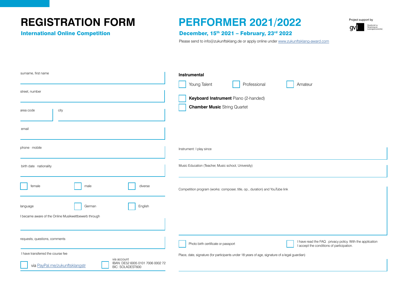# **REGISTRATION FORM PERFORMER 2021/2022**



### International Online Competition **December, 15th 2021 - February, 23rd 2022**

Please send to [info@zukunftsklang.de](mailto:info%40zukunftsklang.de?subject=Anmeldung%20Performer) or apply online under<www.zukunftsklang-award.com>

| surname, first name                                                                                    | Instrumental                                                                                                                                   |  |
|--------------------------------------------------------------------------------------------------------|------------------------------------------------------------------------------------------------------------------------------------------------|--|
|                                                                                                        | Professional<br>Young Talent<br>Amateur                                                                                                        |  |
| street, number                                                                                         |                                                                                                                                                |  |
|                                                                                                        | Keyboard Instrument Piano (2-handed)                                                                                                           |  |
| city<br>area code                                                                                      | <b>Chamber Music String Quartet</b>                                                                                                            |  |
| email                                                                                                  |                                                                                                                                                |  |
| phone · mobile                                                                                         | Instrument: I play since                                                                                                                       |  |
| birth date · nationality                                                                               | Music Education (Teacher, Music school, University)                                                                                            |  |
| female<br>diverse<br>male                                                                              | Competition program (works: composer, title, op., duration) and YouTube link                                                                   |  |
| English<br>German<br>language                                                                          |                                                                                                                                                |  |
| I became aware of the Online Musikwettbewerb through                                                   |                                                                                                                                                |  |
|                                                                                                        |                                                                                                                                                |  |
| requests, questions, comments                                                                          | I have read the FAQ . privacy policy. With the application<br>Photo birth certificate or passport<br>I accept the conditions of participation. |  |
| I have transferred the course fee                                                                      | Place, date, signature (for participants under 18 years of age, signature of a legal guardian)                                                 |  |
| via account<br>IBAN: DE52 6005 0101 7006 0002 72<br>via PayPal.me/zukunftsklangstr<br>BIC: SOLADEST600 |                                                                                                                                                |  |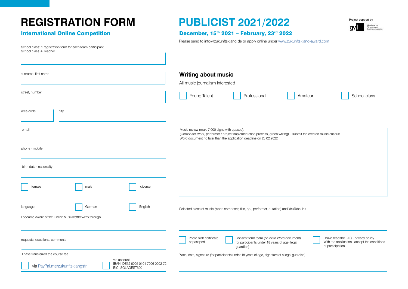# **REGISTRATION FORM PUBLICIST 2021/2022**

School class: 1 registration form for each team participant School class + Teacher



### International Online Competition December, 15<sup>th</sup> 2021 – February, 23<sup>rd</sup> 2022

Please send to [info@zukunftsklang.de](mailto:info%40zukunftsklang.de?subject=Anmeldung%20Performer) or apply online under<www.zukunftsklang-award.com>

| surname, first name                                                                                                                         | <b>Writing about music</b><br>All music journalism interested                                                                                                                                                                                                    |
|---------------------------------------------------------------------------------------------------------------------------------------------|------------------------------------------------------------------------------------------------------------------------------------------------------------------------------------------------------------------------------------------------------------------|
| street, number                                                                                                                              | Young Talent<br>School class<br>Professional<br>Amateur                                                                                                                                                                                                          |
| city<br>area code                                                                                                                           |                                                                                                                                                                                                                                                                  |
| email                                                                                                                                       | Music review (max. 7.000 signs with spaces):<br>(Composer, work, performer / project implementation process, green writing) - submit the created music critique<br>Word document no later than the application deadline on 23.02.2022                            |
| phone mobile                                                                                                                                |                                                                                                                                                                                                                                                                  |
| birth date · nationality                                                                                                                    |                                                                                                                                                                                                                                                                  |
| female<br>diverse<br>male                                                                                                                   |                                                                                                                                                                                                                                                                  |
| English<br>German<br>language<br>I became aware of the Online Musikwettbewerb through                                                       | Selected piece of music (work: composer, title, op., performer, duration) and YouTube link                                                                                                                                                                       |
| requests, questions, comments                                                                                                               | Consent form team (on extra Word document)<br>I have read the FAQ . privacy policy.<br>Photo birth certificate<br>With the application I accept the conditions<br>or passport<br>for participants under 18 years of age (legal<br>of participation.<br>guardian) |
| I have transferred the course fee<br>via account<br>IBAN: DE52 6005 0101 7006 0002 72<br>via PayPal.me/zukunftsklangstr<br>BIC: SOLADEST600 | Place, date, signature (for participants under 18 years of age, signature of a legal guardian)                                                                                                                                                                   |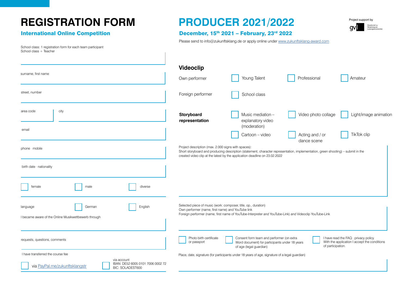# **REGISTRATION FORM PRODUCER 2021/2022**

# **International Online Competition**

School class: 1 registration form for each team participant School class + Teacher

Project support by a١

|  | December, 15th 2021 - February, 23rd 2022 |
|--|-------------------------------------------|
|--|-------------------------------------------|

Please send to [info@zukunftsklang.de](mailto:info%40zukunftsklang.de?subject=Anmeldung%20Performer) or apply online under<www.zukunftsklang-award.com>

| surname, first name                                                                                    | <b>Videoclip</b><br>Own performer                                                                                   | Young Talent                                                                                                                                                                                                   | Professional                   | Amateur                                                                               |
|--------------------------------------------------------------------------------------------------------|---------------------------------------------------------------------------------------------------------------------|----------------------------------------------------------------------------------------------------------------------------------------------------------------------------------------------------------------|--------------------------------|---------------------------------------------------------------------------------------|
| street, number                                                                                         | Foreign performer                                                                                                   | School class                                                                                                                                                                                                   |                                |                                                                                       |
| city<br>area code                                                                                      | Storyboard<br>representation                                                                                        | Music mediation -<br>explanatory video<br>(moderation)                                                                                                                                                         | Video photo collage            | Light/image animation                                                                 |
| email                                                                                                  |                                                                                                                     | Cartoon - video                                                                                                                                                                                                | Acting and / or<br>dance scene | <b>TikTok clip</b>                                                                    |
| phone · mobile                                                                                         | Project description (max. 2.000 signs with spaces):                                                                 | Short storyboard and producing description (statement, character representation, implementation, green shooting) - submit in the<br>created video clip at the latest by the application deadline on 23.02.2022 |                                |                                                                                       |
| birth date · nationality                                                                               |                                                                                                                     |                                                                                                                                                                                                                |                                |                                                                                       |
| female<br>male<br>diverse                                                                              |                                                                                                                     |                                                                                                                                                                                                                |                                |                                                                                       |
| English<br>German<br>language<br>became aware of the Online Musikwettbewerb through                    | Selected piece of music (work: composer, title, op., duration)<br>Own performer (name, first name) and YouTube link | Foreign performer (name, first name of YouTube-Interpreter and YouTube-Link) and Videoclip YouTube-Link                                                                                                        |                                |                                                                                       |
| requests, questions, comments                                                                          | Photo birth certificate<br>or passport                                                                              | Consent form team and performer (on extra<br>Word document) for participants under 18 years<br>of age (legal guardian)                                                                                         | of participation.              | I have read the FAQ . privacy policy.<br>With the application I accept the conditions |
| I have transferred the course fee                                                                      |                                                                                                                     | Place, date, signature (for participants under 18 years of age, signature of a legal guardian)                                                                                                                 |                                |                                                                                       |
| via account<br>IBAN: DE52 6005 0101 7006 0002 72<br>via PayPal.me/zukunftsklangstr<br>BIC: SOLADEST600 |                                                                                                                     |                                                                                                                                                                                                                |                                |                                                                                       |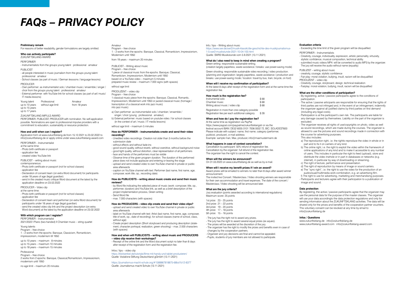# *FAQs – PRIVACY POLICY*

#### **Preliminary remark**

For reasons of better readability, gender formulations are largely omitted.

#### **Who can actively participate?** ZUKUNFTSKLANG AWARD

PERFORMER

- Instrumentalists from the groups young talent · professional · amateur PU**BLICIST**
- all people interested in music journalism from the groups young talent professional · amateur
- School classes (as part of music / German lesssons / language lessons)

#### PRODUCER

- Own performer: as instrumentalist solo / chamber music / ensemble / singer / choir from the groups young talent · professional · amateur - External performer: with YouTube link for school classes (as part of art/ music/ IT media lessons)

Young talent Professional up to 10 years without age limit up to 15 years up to 17 years Amateur from 18 years

#### ZUKUNFTSKLANG IMPULS AWARD

PERFORMER, PUBLICIST, PRODUCER with nomination. No self-application possible. Nominations are open to professional impulse providers with a commitment to education, sustainability or resource protection.

#### **How and until when can I register?**

Application form at www.zukunftsklang.de from 15.12.2021 to 23.02.2022 to info@zukunftsklang.de or apply online under www.zukunftsklang-award.com

- PERFORMER Instrumentalist at the same time: - Photo birth certificate or passport - application fee - created video YouTube link PUBLICIST – writing about music contemporaneous: - Photo birth certificate or passport (not for school classes) - application fee - Declaration of consent team (on extra Word document) for participants under 18 years of age (legal guardian)
- send in the created music critique Word document at the latest by the application deadline on 23.02.2022

PRODUCER – Video clip

- at the same time: - Photo birth certificate or passport (not for school classes)
- application fee - Declaration of consent team and performer (on extra Word document) for
- participants under 18 years of age (legal guardian) - send the created video clip link and the project description (on extra Word document) at the latest by the application deadline on 23.02.2022

#### **With which program can I register?**

PERFORMER – Instrumentalist 2021/2022 I Piano (two-handed) II Chamber music – string quartet

Young talents Program – free choice 1 – 2 works from the epochs: Baroque, Classicism, Romanticism, impressionism, modernism till 1950

up to 10 years – maximum 8 minutes up to 15 years – maximum 10 minutes up to 18 years – maximum 15 minutes

#### Professional

Program – free choice 2 works from 2 epochs: Baroque, Classical,Romanticism, Impressionism, modernism until 1950

no age limit – maximum 20 minutes

#### Amateur Program – free choice

1 – 2 works from the epochs: Baroque, Classical, Romanticism, Impressionism, Modernism until 1950

from 19 years – maximum 20 minutes

#### PUBLICIST – Writing about music Program – free choice 1 piece of classical music from the epochs: Baroque, Classical, Romanticism, Impressionism, Modernism until 1950 based on a YouTube video – maximum 5 minutes prepared music review – maximum 7.000 signs (with spaces)

without age limit

PRODUZENT – video clip

Program – free choice 1 classical music piece from the epochs: Baroque, Classical, Romantic, Impressionism, Modernism until 1950 or jazzed classical music (homage / transcription of a classical work into jazz music) into jazz music)

- a) Own performer: as instrumentalist solo / chamber / ensemble / singer / choir (young . professional . amateur)
- b) External performer: music based on youtube video / for school classes (in the context of art / music / IT media lessons)
- without age limit maximum 5 minutes

#### **How do PERFORMER – instrumentalists create and send their video recording?**

- Unedited video recordings: Creation not older than 3 months before the submission date

- without effects and without fade-ins
- good sound quality, without reverb, without overdrive, without background noise - good light quality, without distortion, clear representation of all performers - face and hands of the performers must be visible
- Observe time of the given program duration. The duration of the performed piece does not include applause and entering or leaving the stage
- upload and send created video to own YouTube channel in private or public area afterwards - caption on YouTube channel with text: Performer (last name, first name, age,

#### composer, work title, op., recording date) **How do PUBLICISTS – writing about music create and send their music**

**reviews?** - by Word file indicating the selected piece of music (work: composer, title, op.,

performer, duration) and YouTube link, as well as a brief description of the project implementation process, Green writing - Send Word file - max. 7.000 characters (with spaces)

#### **How do PRODUCERS – video clip create and send their video clips?** - upload and send created video to own YouTube channel in private or public area afterwards

- label on YouTube channel with text: Artist (last name, first name, age, composer, title of work, op., date of recording); for school classes (name of school, class, without age)

- Create project description (Short storyboard and producing description (statement, character portrayal, realization, green shooting) – max. 2.000 characters (with spaces)

#### **How and when will PUBLICISTS – writing about music and PRODUCERS – video clip receive their workshops?**

- Receipt of the online link and the Word document script no later than 8 days after receipt of the registration form and the registration fee.

#### Infos / tips – video clip

https://klickwinkel.de/tutorials/filme-mit-handy-und-tablet-produzieren/ Quelle: Vodafone Stiftung Deutschland gGmbH (13.11.2021)

https://journalismus-macht-schule.org/#1588867818875-68bd1b12-8377 Quelle: Journalismus macht Schule (13.11.2021)

#### Info / tips – Writing about music

#### https://www.swr.de/swr2/musik-klassik/die-geschichte-des-musikjournalismus-1-5-swr2-musikstunde-2021-10-04-100.html

Quelle: SWR2-Musikstunde vom 5.9.2021 (13.11.2021)

#### **What do I also need to keep in mind when creating a program?** Green writing: responsible sustainable writing.

(creation largely paperless, waste avoidance / breaks: use power-saving mode)

#### Green shooting: responsible sustainable video recording / video production. (planning and organization: largely paperless, waste avoidance / production and breaks: use power-saving mode / location: travel by bus, train, bicycle, on foot)

#### **When will I receive my confirmation of participation?**

At the latest 8 days after receipt of the registration form and at the same time the registration fee.

#### **How much is the registration fee?**

| Instrumental solo                | \$68 |
|----------------------------------|------|
| Chamber music                    | \$68 |
| Writing about music / video clip | \$68 |

Registration in more than one category possible Registration fee per each additional category \$28

#### **When and how do I pay the registration fee?**

At the same time as registration via PayPal https://www.paypal.com/paypalme/zukunftsklangstr or via the festival account IBAN: DE52 6005 0101 7006 0002 72, BIC: SOLADEST600 Please indicate with subject: name, first name, category (performer, publicist, producer), e-mail address Example: sample man, Max, producer, info@maxmustermann.de

#### **What happens in case of contest cancellation?**

Cancellation by participant: 50% refund of registration fee. Cancellation by the organizer: full refund of the registration fee. The organizer has the right to cancel the contest.

#### **When will the winners be announced?**

On 01.03.2022 on www.zukunftsklang.de as well as by e-mail.

#### **When will I receive my benefit prizes if I win an award?**

Award prizes will be emailed to winners no later than 8 days after award winner announcement. The invited live Concert / Masterclass / Video shooting winners are responsible

for their own accommodation and travel expenses. The date of the concert / Masterclass / Video shooting will be announced later.

#### **What are the jury criteria?**

Jury evaluation (points awarded according to international regulations) Maximum score: 25 points

1st prize: 23 – 25 points 2nd prize: 21 – 22 points 3rd prize: 19 – 20 points 4th prize: 17 – 18 points 5th prize: 15 – 16 points

- The jury has the right not to award any prizes. - The jury has the right to award several equal prizes (ex aqueo). - The prizes will be awarded at the discretion of the jury. - The organizer has the right to modify the prizes and benefits even in case of changes by the cooperation partners. - Organizer and jury decisions are final and cannot be appealed. - Pupils, students of jury members are not allowed to participate.

#### **Evaluation criteria**

- Exceeding the time limit of the given program will be disqualified.

PERFORMER – Instrumentalists - Creativity, courage, individuality, expression, artistic personality, virtuosity, stylistic confidence, musical composition, technical ability. - submitted music videos MP4: will be converted to audio MP3 by the organizer. The jury will receive the audio without name (equality)

PUBLIZIST – writing about music - creativity, courage, stylistic confidence - Fair play: moral violation, bullying, insult, racism will be disqualified

PRODUZENT – video clip - Creativity, courage, storyboard, design, technical realization - Fairplay: moral violation, bullying, insult, racism will be disqualified

- **What are the other conditions of participation?** - By registering, active / passive participants agree to the conditions of participation.
- The active / passive articipants are responsible for ensuring that the rights of third parties are not infringed and, in the event of an infringement, indemnify the organizer against all justified claims by third parties on first demand (including any legal costs).

- Participation is at the participant's own risk. The participants are liable for any damage caused by themselves. Liability on the part of the organizer is excluded.

- The organizer receives all rights of use/copyrights on photo, video as well as sound recordings, which are made during the courses. The organizer is allowed to use the pictures and sound recordings made in connection with the course for advertising purposes.

This also includes:

- a) The reproduction right, i.e. the rightto reproduce the video in whole or in part and to fix it on carriers of any kind.
- b) The online right, i.e. the right to exploit the video within the framework of online applications of any kind and to make it accessible to any number of users. This includes in particular the right to feed (upload), store and distribute the video inwhole or in part in databases or networks (e.g. internet), in particular by way of downloading or streaming.
- c) The right of lecture, performance and presentation.

<www.zukunftsklang.de>· [info@zukunftsklang.de](mailto:info%40zukunftsklang.de?subject=)

<www.zukunftsklang-award.com> · [info@zukunftsklang-award.com](mailto:info%40zukunftsklang-award.com?subject=)

- d) The right of reproduction by means of image or sound carriers.
- e) The "sync right", i.e. the right to use the video for the production of an audiovisual/multimedia work combination, e.g. an advertising film.

f) The right to use for advertising, marketing and merchandising purposes. - Participants and lecturers agree with their participation to a publication of image and sound.

#### **Data protection**

**Infos / Questions**

By registering, the active / passive participants agree that the organizer may use the personal data for the purpose of the master classes. The organizer will use your data accordingto the data protection regulations and only for sending information about the ZUKUNFTSKLANG activities. The data will be shared only for the prices and benefits of the cooperation partner vouchers. This voluntary consent can be revoked at any time by email to info@zukunftsklang.de